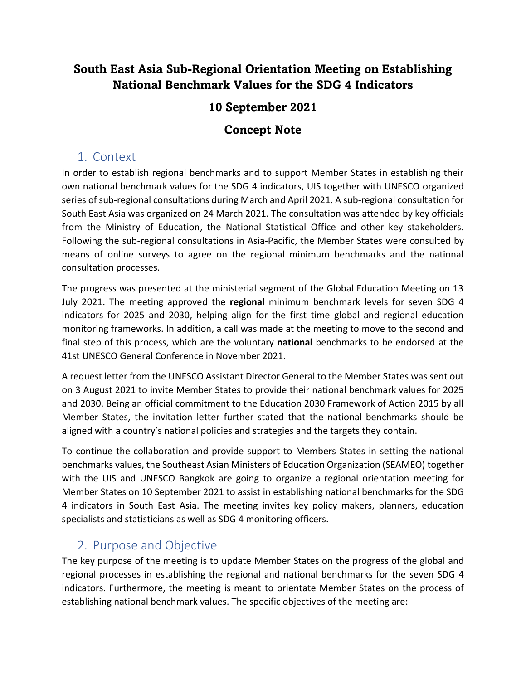# **South East Asia Sub-Regional Orientation Meeting on Establishing National Benchmark Values for the SDG 4 Indicators**

### **10 September 2021**

### **Concept Note**

### 1. Context

In order to establish regional benchmarks and to support Member States in establishing their own national benchmark values for the SDG 4 indicators, UIS together with UNESCO organized series of sub-regional consultations during March and April 2021. A sub-regional consultation for South East Asia was organized on 24 March 2021. The consultation was attended by key officials from the Ministry of Education, the National Statistical Office and other key stakeholders. Following the sub-regional consultations in Asia-Pacific, the Member States were consulted by means of online surveys to agree on the regional minimum benchmarks and the national consultation processes.

The progress was presented at the ministerial segment of the Global Education Meeting on 13 July 2021. The meeting approved the **regional** minimum benchmark levels for seven SDG 4 indicators for 2025 and 2030, helping align for the first time global and regional education monitoring frameworks. In addition, a call was made at the meeting to move to the second and final step of this process, which are the voluntary **national** benchmarks to be endorsed at the 41st UNESCO General Conference in November 2021.

A request letter from the UNESCO Assistant Director General to the Member States was sent out on 3 August 2021 to invite Member States to provide their national benchmark values for 2025 and 2030. Being an official commitment to the Education 2030 Framework of Action 2015 by all Member States, the invitation letter further stated that the national benchmarks should be aligned with a country's national policies and strategies and the targets they contain.

To continue the collaboration and provide support to Members States in setting the national benchmarks values, the Southeast Asian Ministers of Education Organization (SEAMEO) together with the UIS and UNESCO Bangkok are going to organize a regional orientation meeting for Member States on 10 September 2021 to assist in establishing national benchmarks for the SDG 4 indicators in South East Asia. The meeting invites key policy makers, planners, education specialists and statisticians as well as SDG 4 monitoring officers.

# 2. Purpose and Objective

The key purpose of the meeting is to update Member States on the progress of the global and regional processes in establishing the regional and national benchmarks for the seven SDG 4 indicators. Furthermore, the meeting is meant to orientate Member States on the process of establishing national benchmark values. The specific objectives of the meeting are: